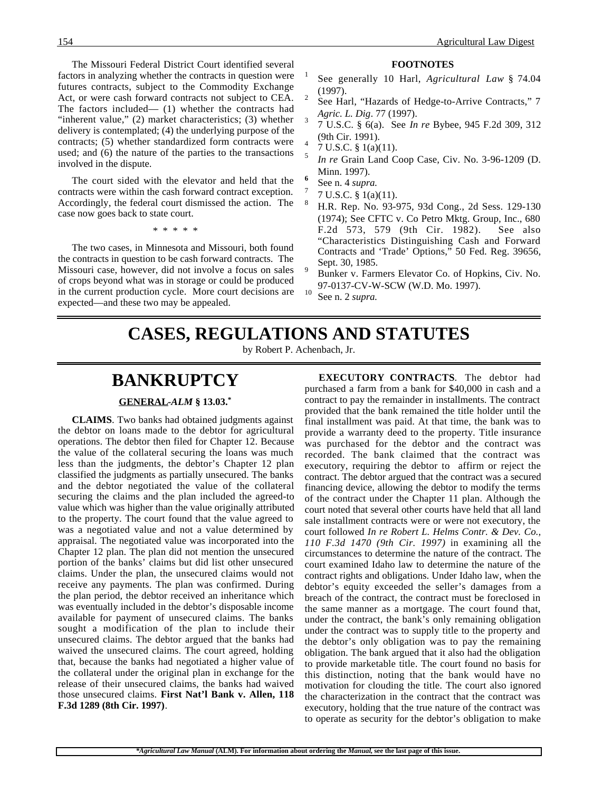The Missouri Federal District Court identified several factors in analyzing whether the contracts in question were futures contracts, subject to the Commodity Exchange Act, or were cash forward contracts not subject to CEA. The factors included— (1) whether the contracts had "inherent value," (2) market characteristics; (3) whether delivery is contemplated; (4) the underlying purpose of the contracts; (5) whether standardized form contracts were used; and (6) the nature of the parties to the transactions involved in the dispute.

The court sided with the elevator and held that the contracts were within the cash forward contract exception. Accordingly, the federal court dismissed the action. The case now goes back to state court.

\* \* \* \* \*

The two cases, in Minnesota and Missouri, both found the contracts in question to be cash forward contracts. The Missouri case, however, did not involve a focus on sales of crops beyond what was in storage or could be produced in the current production cycle. More court decisions are expected—and these two may be appealed.

#### **FOOTNOTES**

- <sup>1</sup> See generally 10 Harl, *Agricultural Law* § 74.04 (1997).<br>See Harl, "Hazards of Hedge-to-Arrive Contracts," 7
- *Agric. L. Dig. 77 (1997).* 3 *J. D. S.C.* § 6(a). See *In re* Bybee, 945 F.2d 309, 312
- (9th Cir. 1991).<br>7 U.S.C. § 1(a)(11).
- 
- <sup>5</sup> *In re* Grain Land Coop Case, Civ. No. 3-96-1209 (D. Minn. 1997). **<sup>6</sup>** See n. 4 *supra*. <sup>7</sup> 7 U.S.C. § 1(a)(11).
- 
- 
- <sup>8</sup> H.R. Rep. No. 93-975, 93d Cong., 2d Sess. 129-130 (1974); See CFTC v. Co Petro Mktg. Group, Inc., 680 F.2d 573, 579 (9th Cir. 1982). See also "Characteristics Distinguishing Cash and Forward Contracts and 'Trade' Options," 50 Fed. Reg. 39656, Sept. 30, 1985.<br>Bunker v. Farmers Elevator Co. of Hopkins, Civ. No.
- 97-0137-CV-W-SCW (W.D. Mo. 1997).<br>See n. 2 *supra*.
- 

## **CASES, REGULATIONS AND STATUTES**

by Robert P. Achenbach, Jr.

## **BANKRUPTCY**

#### **GENERAL -***ALM* **§ 13.03.\***

**CLAIMS**. Two banks had obtained judgments against the debtor on loans made to the debtor for agricultural operations. The debtor then filed for Chapter 12. Because the value of the collateral securing the loans was much less than the judgments, the debtor's Chapter 12 plan classified the judgments as partially unsecured. The banks and the debtor negotiated the value of the collateral securing the claims and the plan included the agreed-to value which was higher than the value originally attributed to the property. The court found that the value agreed to was a negotiated value and not a value determined by appraisal. The negotiated value was incorporated into the Chapter 12 plan. The plan did not mention the unsecured portion of the banks' claims but did list other unsecured claims. Under the plan, the unsecured claims would not receive any payments. The plan was confirmed. During the plan period, the debtor received an inheritance which was eventually included in the debtor's disposable income available for payment of unsecured claims. The banks sought a modification of the plan to include their unsecured claims. The debtor argued that the banks had waived the unsecured claims. The court agreed, holding that, because the banks had negotiated a higher value of the collateral under the original plan in exchange for the release of their unsecured claims, the banks had waived those unsecured claims. **First Nat'l Bank v. Allen, 118 F.3d 1289 (8th Cir. 1997)**.

**EXECUTORY CONTRACTS**. The debtor had purchased a farm from a bank for \$40,000 in cash and a contract to pay the remainder in installments. The contract provided that the bank remained the title holder until the final installment was paid. At that time, the bank was to provide a warranty deed to the property. Title insurance was purchased for the debtor and the contract was recorded. The bank claimed that the contract was executory, requiring the debtor to affirm or reject the contract. The debtor argued that the contract was a secured financing device, allowing the debtor to modify the terms of the contract under the Chapter 11 plan. Although the court noted that several other courts have held that all land sale installment contracts were or were not executory, the court followed *In re Robert L. Helms Contr. & Dev. Co., 110 F.3d 1470 (9th Cir. 1997)* in examining all the circumstances to determine the nature of the contract. The court examined Idaho law to determine the nature of the contract rights and obligations. Under Idaho law, when the debtor's equity exceeded the seller's damages from a breach of the contract, the contract must be foreclosed in the same manner as a mortgage. The court found that, under the contract, the bank's only remaining obligation under the contract was to supply title to the property and the debtor's only obligation was to pay the remaining obligation. The bank argued that it also had the obligation to provide marketable title. The court found no basis for this distinction, noting that the bank would have no motivation for clouding the title. The court also ignored the characterization in the contract that the contract was executory, holding that the true nature of the contract was to operate as security for the debtor's obligation to make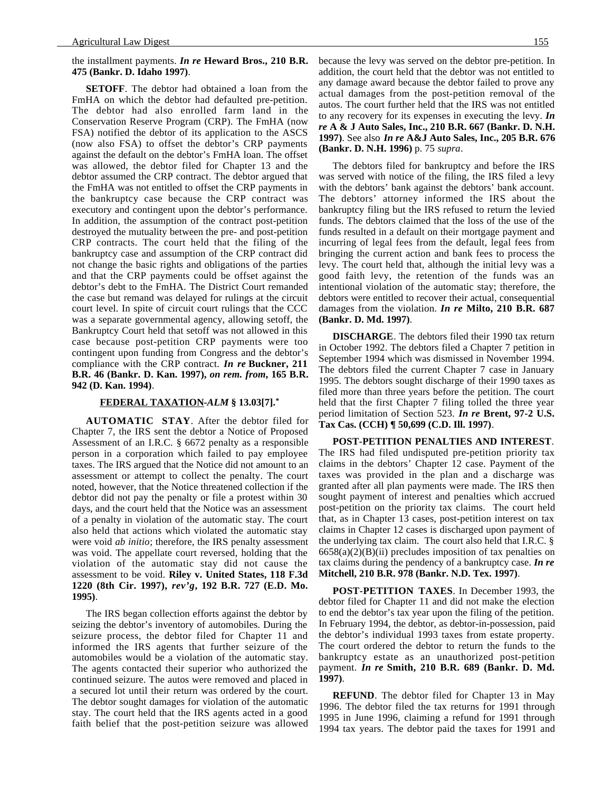#### the installment payments. *In re* **Heward Bros., 210 B.R. 475 (Bankr. D. Idaho 1997)**.

**SETOFF**. The debtor had obtained a loan from the FmHA on which the debtor had defaulted pre-petition. The debtor had also enrolled farm land in the Conservation Reserve Program (CRP). The FmHA (now FSA) notified the debtor of its application to the ASCS (now also FSA) to offset the debtor's CRP payments against the default on the debtor's FmHA loan. The offset was allowed, the debtor filed for Chapter 13 and the debtor assumed the CRP contract. The debtor argued that the FmHA was not entitled to offset the CRP payments in the bankruptcy case because the CRP contract was executory and contingent upon the debtor's performance. In addition, the assumption of the contract post-petition destroyed the mutuality between the pre- and post-petition CRP contracts. The court held that the filing of the bankruptcy case and assumption of the CRP contract did not change the basic rights and obligations of the parties and that the CRP payments could be offset against the debtor's debt to the FmHA. The District Court remanded the case but remand was delayed for rulings at the circuit court level. In spite of circuit court rulings that the CCC was a separate governmental agency, allowing setoff, the Bankruptcy Court held that setoff was not allowed in this case because post-petition CRP payments were too contingent upon funding from Congress and the debtor's compliance with the CRP contract. *In re* **Buckner, 211 B.R. 46 (Bankr. D. Kan. 1997),** *on rem. from***, 165 B.R. 942 (D. Kan. 1994)**.

#### **FEDERAL TAXATION -***ALM* **§ 13.03[7].\***

**AUTOMATIC STAY**. After the debtor filed for Chapter 7, the IRS sent the debtor a Notice of Proposed Assessment of an I.R.C. § 6672 penalty as a responsible person in a corporation which failed to pay employee taxes. The IRS argued that the Notice did not amount to an assessment or attempt to collect the penalty. The court noted, however, that the Notice threatened collection if the debtor did not pay the penalty or file a protest within 30 days, and the court held that the Notice was an assessment of a penalty in violation of the automatic stay. The court also held that actions which violated the automatic stay were void *ab initio*; therefore, the IRS penalty assessment was void. The appellate court reversed, holding that the violation of the automatic stay did not cause the assessment to be void. **Riley v. United States, 118 F.3d 1220 (8th Cir. 1997),** *rev'g***, 192 B.R. 727 (E.D. Mo. 1995)**.

The IRS began collection efforts against the debtor by seizing the debtor's inventory of automobiles. During the seizure process, the debtor filed for Chapter 11 and informed the IRS agents that further seizure of the automobiles would be a violation of the automatic stay. The agents contacted their superior who authorized the continued seizure. The autos were removed and placed in a secured lot until their return was ordered by the court. The debtor sought damages for violation of the automatic stay. The court held that the IRS agents acted in a good faith belief that the post-petition seizure was allowed because the levy was served on the debtor pre-petition. In addition, the court held that the debtor was not entitled to any damage award because the debtor failed to prove any actual damages from the post-petition removal of the autos. The court further held that the IRS was not entitled to any recovery for its expenses in executing the levy. *In re* **A & J Auto Sales, Inc., 210 B.R. 667 (Bankr. D. N.H. 1997)**. See also *In re* **A&J Auto Sales, Inc., 205 B.R. 676 (Bankr. D. N.H. 1996)** p. 75 *supra*.

The debtors filed for bankruptcy and before the IRS was served with notice of the filing, the IRS filed a levy with the debtors' bank against the debtors' bank account. The debtors' attorney informed the IRS about the bankruptcy filing but the IRS refused to return the levied funds. The debtors claimed that the loss of the use of the funds resulted in a default on their mortgage payment and incurring of legal fees from the default, legal fees from bringing the current action and bank fees to process the levy. The court held that, although the initial levy was a good faith levy, the retention of the funds was an intentional violation of the automatic stay; therefore, the debtors were entitled to recover their actual, consequential damages from the violation. *In re* **Milto, 210 B.R. 687 (Bankr. D. Md. 1997)**.

**DISCHARGE**. The debtors filed their 1990 tax return in October 1992. The debtors filed a Chapter 7 petition in September 1994 which was dismissed in November 1994. The debtors filed the current Chapter 7 case in January 1995. The debtors sought discharge of their 1990 taxes as filed more than three years before the petition. The court held that the first Chapter 7 filing tolled the three year period limitation of Section 523. *In re* **Brent, 97-2 U.S. Tax Cas. (CCH) ¶ 50,699 (C.D. Ill. 1997)**.

**POST-PETITION PENALTIES AND INTEREST**. The IRS had filed undisputed pre-petition priority tax claims in the debtors' Chapter 12 case. Payment of the taxes was provided in the plan and a discharge was granted after all plan payments were made. The IRS then sought payment of interest and penalties which accrued post-petition on the priority tax claims. The court held that, as in Chapter 13 cases, post-petition interest on tax claims in Chapter 12 cases is discharged upon payment of the underlying tax claim. The court also held that I.R.C. §  $6658(a)(2)(B)(ii)$  precludes imposition of tax penalties on tax claims during the pendency of a bankruptcy case. *In re* **Mitchell, 210 B.R. 978 (Bankr. N.D. Tex. 1997)**.

**POST-PETITION TAXES**. In December 1993, the debtor filed for Chapter 11 and did not make the election to end the debtor's tax year upon the filing of the petition. In February 1994, the debtor, as debtor-in-possession, paid the debtor's individual 1993 taxes from estate property. The court ordered the debtor to return the funds to the bankruptcy estate as an unauthorized post-petition payment. *In re* **Smith, 210 B.R. 689 (Bankr. D. Md. 1997)**.

**REFUND**. The debtor filed for Chapter 13 in May 1996. The debtor filed the tax returns for 1991 through 1995 in June 1996, claiming a refund for 1991 through 1994 tax years. The debtor paid the taxes for 1991 and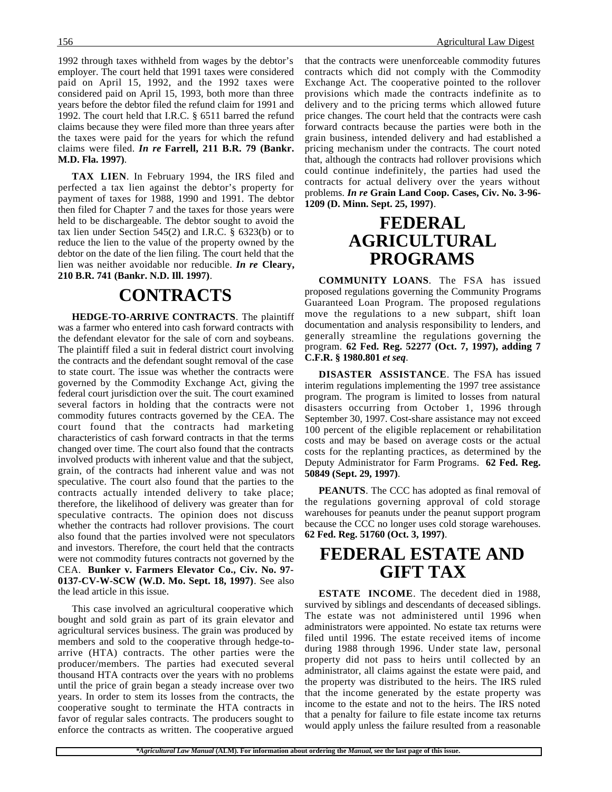1992 through taxes withheld from wages by the debtor's employer. The court held that 1991 taxes were considered paid on April 15, 1992, and the 1992 taxes were considered paid on April 15, 1993, both more than three years before the debtor filed the refund claim for 1991 and 1992. The court held that I.R.C. § 6511 barred the refund claims because they were filed more than three years after the taxes were paid for the years for which the refund claims were filed. *In re* **Farrell, 211 B.R. 79 (Bankr. M.D. Fla. 1997)**.

**TAX LIEN**. In February 1994, the IRS filed and perfected a tax lien against the debtor's property for payment of taxes for 1988, 1990 and 1991. The debtor then filed for Chapter 7 and the taxes for those years were held to be dischargeable. The debtor sought to avoid the tax lien under Section 545(2) and I.R.C. § 6323(b) or to reduce the lien to the value of the property owned by the debtor on the date of the lien filing. The court held that the lien was neither avoidable nor reducible. *In re* **Cleary, 210 B.R. 741 (Bankr. N.D. Ill. 1997)**.

## **CONTRACTS**

**HEDGE-TO-ARRIVE CONTRACTS**. The plaintiff was a farmer who entered into cash forward contracts with the defendant elevator for the sale of corn and soybeans. The plaintiff filed a suit in federal district court involving the contracts and the defendant sought removal of the case to state court. The issue was whether the contracts were governed by the Commodity Exchange Act, giving the federal court jurisdiction over the suit. The court examined several factors in holding that the contracts were not commodity futures contracts governed by the CEA. The court found that the contracts had marketing characteristics of cash forward contracts in that the terms changed over time. The court also found that the contracts involved products with inherent value and that the subject, grain, of the contracts had inherent value and was not speculative. The court also found that the parties to the contracts actually intended delivery to take place; therefore, the likelihood of delivery was greater than for speculative contracts. The opinion does not discuss whether the contracts had rollover provisions. The court also found that the parties involved were not speculators and investors. Therefore, the court held that the contracts were not commodity futures contracts not governed by the CEA. **Bunker v. Farmers Elevator Co., Civ. No. 97- 0137-CV-W-SCW (W.D. Mo. Sept. 18, 1997)**. See also the lead article in this issue.

This case involved an agricultural cooperative which bought and sold grain as part of its grain elevator and agricultural services business. The grain was produced by members and sold to the cooperative through hedge-toarrive (HTA) contracts. The other parties were the producer/members. The parties had executed several thousand HTA contracts over the years with no problems until the price of grain began a steady increase over two years. In order to stem its losses from the contracts, the cooperative sought to terminate the HTA contracts in favor of regular sales contracts. The producers sought to enforce the contracts as written. The cooperative argued

that the contracts were unenforceable commodity futures contracts which did not comply with the Commodity Exchange Act. The cooperative pointed to the rollover provisions which made the contracts indefinite as to delivery and to the pricing terms which allowed future price changes. The court held that the contracts were cash forward contracts because the parties were both in the grain business, intended delivery and had established a pricing mechanism under the contracts. The court noted that, although the contracts had rollover provisions which could continue indefinitely, the parties had used the contracts for actual delivery over the years without problems. *In re* **Grain Land Coop. Cases, Civ. No. 3-96- 1209 (D. Minn. Sept. 25, 1997)**.

## **FEDERAL AGRICULTURAL PROGRAMS**

**COMMUNITY LOANS**. The FSA has issued proposed regulations governing the Community Programs Guaranteed Loan Program. The proposed regulations move the regulations to a new subpart, shift loan documentation and analysis responsibility to lenders, and generally streamline the regulations governing the program. **62 Fed. Reg. 52277 (Oct. 7, 1997), adding 7 C.F.R. § 1980.801** *et seq*.

**DISASTER ASSISTANCE**. The FSA has issued interim regulations implementing the 1997 tree assistance program. The program is limited to losses from natural disasters occurring from October 1, 1996 through September 30, 1997. Cost-share assistance may not exceed 100 percent of the eligible replacement or rehabilitation costs and may be based on average costs or the actual costs for the replanting practices, as determined by the Deputy Administrator for Farm Programs. **62 Fed. Reg. 50849 (Sept. 29, 1997)**.

**PEANUTS**. The CCC has adopted as final removal of the regulations governing approval of cold storage warehouses for peanuts under the peanut support program because the CCC no longer uses cold storage warehouses. **62 Fed. Reg. 51760 (Oct. 3, 1997)**.

## **FEDERAL ESTATE AND GIFT TAX**

**ESTATE INCOME**. The decedent died in 1988, survived by siblings and descendants of deceased siblings. The estate was not administered until 1996 when administrators were appointed. No estate tax returns were filed until 1996. The estate received items of income during 1988 through 1996. Under state law, personal property did not pass to heirs until collected by an administrator, all claims against the estate were paid, and the property was distributed to the heirs. The IRS ruled that the income generated by the estate property was income to the estate and not to the heirs. The IRS noted that a penalty for failure to file estate income tax returns would apply unless the failure resulted from a reasonable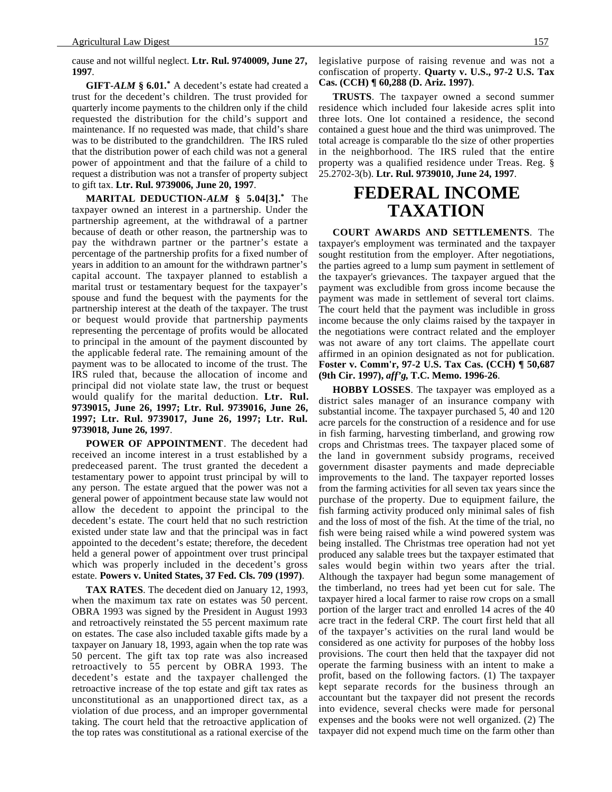cause and not willful neglect. **Ltr. Rul. 9740009, June 27, 1997**.

**GIFT-***ALM* **§ 6.01.\*** A decedent's estate had created a trust for the decedent's children. The trust provided for quarterly income payments to the children only if the child requested the distribution for the child's support and maintenance. If no requested was made, that child's share was to be distributed to the grandchildren. The IRS ruled that the distribution power of each child was not a general power of appointment and that the failure of a child to request a distribution was not a transfer of property subject to gift tax. **Ltr. Rul. 9739006, June 20, 1997**.

**MARITAL DEDUCTION-***ALM* **§ 5.04[3].\*** The taxpayer owned an interest in a partnership. Under the partnership agreement, at the withdrawal of a partner because of death or other reason, the partnership was to pay the withdrawn partner or the partner's estate a percentage of the partnership profits for a fixed number of years in addition to an amount for the withdrawn partner's capital account. The taxpayer planned to establish a marital trust or testamentary bequest for the taxpayer's spouse and fund the bequest with the payments for the partnership interest at the death of the taxpayer. The trust or bequest would provide that partnership payments representing the percentage of profits would be allocated to principal in the amount of the payment discounted by the applicable federal rate. The remaining amount of the payment was to be allocated to income of the trust. The IRS ruled that, because the allocation of income and principal did not violate state law, the trust or bequest would qualify for the marital deduction. **Ltr. Rul. 9739015, June 26, 1997; Ltr. Rul. 9739016, June 26, 1997; Ltr. Rul. 9739017, June 26, 1997; Ltr. Rul. 9739018, June 26, 1997**.

**POWER OF APPOINTMENT**. The decedent had received an income interest in a trust established by a predeceased parent. The trust granted the decedent a testamentary power to appoint trust principal by will to any person. The estate argued that the power was not a general power of appointment because state law would not allow the decedent to appoint the principal to the decedent's estate. The court held that no such restriction existed under state law and that the principal was in fact appointed to the decedent's estate; therefore, the decedent held a general power of appointment over trust principal which was properly included in the decedent's gross estate. **Powers v. United States, 37 Fed. Cls. 709 (1997)**.

**TAX RATES**. The decedent died on January 12, 1993, when the maximum tax rate on estates was 50 percent. OBRA 1993 was signed by the President in August 1993 and retroactively reinstated the 55 percent maximum rate on estates. The case also included taxable gifts made by a taxpayer on January 18, 1993, again when the top rate was 50 percent. The gift tax top rate was also increased retroactively to 55 percent by OBRA 1993. The decedent's estate and the taxpayer challenged the retroactive increase of the top estate and gift tax rates as unconstitutional as an unapportioned direct tax, as a violation of due process, and an improper governmental taking. The court held that the retroactive application of the top rates was constitutional as a rational exercise of the legislative purpose of raising revenue and was not a confiscation of property. **Quarty v. U.S., 97-2 U.S. Tax Cas. (CCH) ¶ 60,288 (D. Ariz. 1997)**.

**TRUSTS**. The taxpayer owned a second summer residence which included four lakeside acres split into three lots. One lot contained a residence, the second contained a guest houe and the third was unimproved. The total acreage is comparable tlo the size of other properties in the neighborhood. The IRS ruled that the entire property was a qualified residence under Treas. Reg. § 25.2702-3(b). **Ltr. Rul. 9739010, June 24, 1997**.

## **FEDERAL INCOME TAXATION**

**COURT AWARDS AND SETTLEMENTS**. The taxpayer's employment was terminated and the taxpayer sought restitution from the employer. After negotiations, the parties agreed to a lump sum payment in settlement of the taxpayer's grievances. The taxpayer argued that the payment was excludible from gross income because the payment was made in settlement of several tort claims. The court held that the payment was includible in gross income because the only claims raised by the taxpayer in the negotiations were contract related and the employer was not aware of any tort claims. The appellate court affirmed in an opinion designated as not for publication. **Foster v. Comm'r, 97-2 U.S. Tax Cas. (CCH) ¶ 50,687 (9th Cir. 1997),** *aff'g***, T.C. Memo. 1996-26**.

**HOBBY LOSSES**. The taxpayer was employed as a district sales manager of an insurance company with substantial income. The taxpayer purchased 5, 40 and 120 acre parcels for the construction of a residence and for use in fish farming, harvesting timberland, and growing row crops and Christmas trees. The taxpayer placed some of the land in government subsidy programs, received government disaster payments and made depreciable improvements to the land. The taxpayer reported losses from the farming activities for all seven tax years since the purchase of the property. Due to equipment failure, the fish farming activity produced only minimal sales of fish and the loss of most of the fish. At the time of the trial, no fish were being raised while a wind powered system was being installed. The Christmas tree operation had not yet produced any salable trees but the taxpayer estimated that sales would begin within two years after the trial. Although the taxpayer had begun some management of the timberland, no trees had yet been cut for sale. The taxpayer hired a local farmer to raise row crops on a small portion of the larger tract and enrolled 14 acres of the 40 acre tract in the federal CRP. The court first held that all of the taxpayer's activities on the rural land would be considered as one activity for purposes of the hobby loss provisions. The court then held that the taxpayer did not operate the farming business with an intent to make a profit, based on the following factors. (1) The taxpayer kept separate records for the business through an accountant but the taxpayer did not present the records into evidence, several checks were made for personal expenses and the books were not well organized. (2) The taxpayer did not expend much time on the farm other than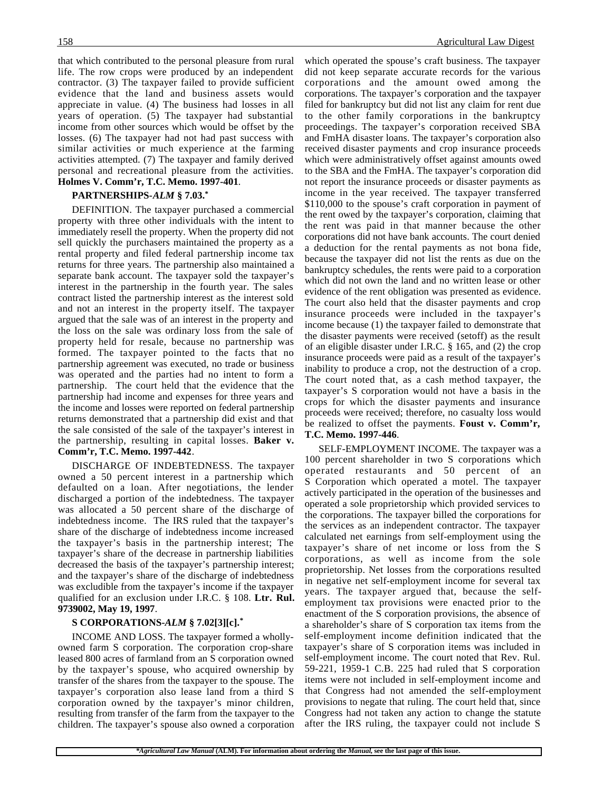that which contributed to the personal pleasure from rural life. The row crops were produced by an independent contractor. (3) The taxpayer failed to provide sufficient evidence that the land and business assets would appreciate in value. (4) The business had losses in all years of operation. (5) The taxpayer had substantial income from other sources which would be offset by the losses. (6) The taxpayer had not had past success with similar activities or much experience at the farming activities attempted. (7) The taxpayer and family derived personal and recreational pleasure from the activities. **Holmes V. Comm'r, T.C. Memo. 1997-401**.

#### **PARTNERSHIPS-***ALM* **§ 7.03.\***

DEFINITION. The taxpayer purchased a commercial property with three other individuals with the intent to immediately resell the property. When the property did not sell quickly the purchasers maintained the property as a rental property and filed federal partnership income tax returns for three years. The partnership also maintained a separate bank account. The taxpayer sold the taxpayer's interest in the partnership in the fourth year. The sales contract listed the partnership interest as the interest sold and not an interest in the property itself. The taxpayer argued that the sale was of an interest in the property and the loss on the sale was ordinary loss from the sale of property held for resale, because no partnership was formed. The taxpayer pointed to the facts that no partnership agreement was executed, no trade or business was operated and the parties had no intent to form a partnership. The court held that the evidence that the partnership had income and expenses for three years and the income and losses were reported on federal partnership returns demonstrated that a partnership did exist and that the sale consisted of the sale of the taxpayer's interest in the partnership, resulting in capital losses. **Baker v. Comm'r, T.C. Memo. 1997-442**.

DISCHARGE OF INDEBTEDNESS. The taxpayer owned a 50 percent interest in a partnership which defaulted on a loan. After negotiations, the lender discharged a portion of the indebtedness. The taxpayer was allocated a 50 percent share of the discharge of indebtedness income. The IRS ruled that the taxpayer's share of the discharge of indebtedness income increased the taxpayer's basis in the partnership interest; The taxpayer's share of the decrease in partnership liabilities decreased the basis of the taxpayer's partnership interest; and the taxpayer's share of the discharge of indebtedness was excludible from the taxpayer's income if the taxpayer qualified for an exclusion under I.R.C. § 108. **Ltr. Rul. 9739002, May 19, 1997**.

#### **S CORPORATIONS-***ALM* **§ 7.02[3][c].\***

INCOME AND LOSS. The taxpayer formed a whollyowned farm S corporation. The corporation crop-share leased 800 acres of farmland from an S corporation owned by the taxpayer's spouse, who acquired ownership by transfer of the shares from the taxpayer to the spouse. The taxpayer's corporation also lease land from a third S corporation owned by the taxpayer's minor children, resulting from transfer of the farm from the taxpayer to the children. The taxpayer's spouse also owned a corporation

which operated the spouse's craft business. The taxpayer did not keep separate accurate records for the various corporations and the amount owed among the corporations. The taxpayer's corporation and the taxpayer filed for bankruptcy but did not list any claim for rent due to the other family corporations in the bankruptcy proceedings. The taxpayer's corporation received SBA and FmHA disaster loans. The taxpayer's corporation also received disaster payments and crop insurance proceeds which were administratively offset against amounts owed to the SBA and the FmHA. The taxpayer's corporation did not report the insurance proceeds or disaster payments as income in the year received. The taxpayer transferred \$110,000 to the spouse's craft corporation in payment of the rent owed by the taxpayer's corporation, claiming that the rent was paid in that manner because the other corporations did not have bank accounts. The court denied a deduction for the rental payments as not bona fide, because the taxpayer did not list the rents as due on the bankruptcy schedules, the rents were paid to a corporation which did not own the land and no written lease or other evidence of the rent obligation was presented as evidence. The court also held that the disaster payments and crop insurance proceeds were included in the taxpayer's income because (1) the taxpayer failed to demonstrate that the disaster payments were received (setoff) as the result of an eligible disaster under I.R.C. § 165, and (2) the crop insurance proceeds were paid as a result of the taxpayer's inability to produce a crop, not the destruction of a crop. The court noted that, as a cash method taxpayer, the taxpayer's S corporation would not have a basis in the crops for which the disaster payments and insurance proceeds were received; therefore, no casualty loss would be realized to offset the payments. **Foust v. Comm'r, T.C. Memo. 1997-446**.

SELF-EMPLOYMENT INCOME. The taxpayer was a 100 percent shareholder in two S corporations which operated restaurants and 50 percent of an S Corporation which operated a motel. The taxpayer actively participated in the operation of the businesses and operated a sole proprietorship which provided services to the corporations. The taxpayer billed the corporations for the services as an independent contractor. The taxpayer calculated net earnings from self-employment using the taxpayer's share of net income or loss from the S corporations, as well as income from the sole proprietorship. Net losses from the corporations resulted in negative net self-employment income for several tax years. The taxpayer argued that, because the selfemployment tax provisions were enacted prior to the enactment of the S corporation provisions, the absence of a shareholder's share of S corporation tax items from the self-employment income definition indicated that the taxpayer's share of S corporation items was included in self-employment income. The court noted that Rev. Rul. 59-221, 1959-1 C.B. 225 had ruled that S corporation items were not included in self-employment income and that Congress had not amended the self-employment provisions to negate that ruling. The court held that, since Congress had not taken any action to change the statute after the IRS ruling, the taxpayer could not include S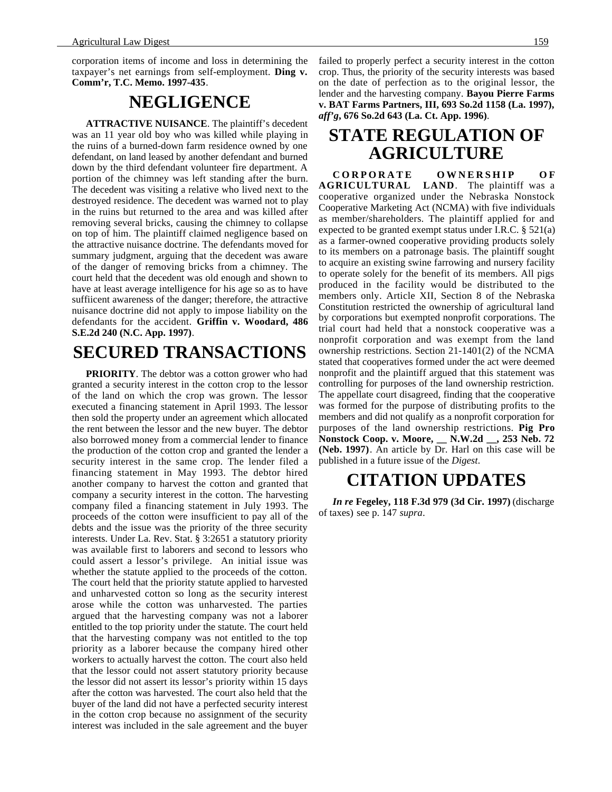corporation items of income and loss in determining the taxpayer's net earnings from self-employment. **Ding v. Comm'r, T.C. Memo. 1997-435**.

## **NEGLIGENCE**

**ATTRACTIVE NUISANCE**. The plaintiff's decedent was an 11 year old boy who was killed while playing in the ruins of a burned-down farm residence owned by one defendant, on land leased by another defendant and burned down by the third defendant volunteer fire department. A portion of the chimney was left standing after the burn. The decedent was visiting a relative who lived next to the destroyed residence. The decedent was warned not to play in the ruins but returned to the area and was killed after removing several bricks, causing the chimney to collapse on top of him. The plaintiff claimed negligence based on the attractive nuisance doctrine. The defendants moved for summary judgment, arguing that the decedent was aware of the danger of removing bricks from a chimney. The court held that the decedent was old enough and shown to have at least average intelligence for his age so as to have suffiicent awareness of the danger; therefore, the attractive nuisance doctrine did not apply to impose liability on the defendants for the accident. **Griffin v. Woodard, 486 S.E.2d 240 (N.C. App. 1997)**.

## **SECURED TRANSACTIONS**

**PRIORITY**. The debtor was a cotton grower who had granted a security interest in the cotton crop to the lessor of the land on which the crop was grown. The lessor executed a financing statement in April 1993. The lessor then sold the property under an agreement which allocated the rent between the lessor and the new buyer. The debtor also borrowed money from a commercial lender to finance the production of the cotton crop and granted the lender a security interest in the same crop. The lender filed a financing statement in May 1993. The debtor hired another company to harvest the cotton and granted that company a security interest in the cotton. The harvesting company filed a financing statement in July 1993. The proceeds of the cotton were insufficient to pay all of the debts and the issue was the priority of the three security interests. Under La. Rev. Stat. § 3:2651 a statutory priority was available first to laborers and second to lessors who could assert a lessor's privilege. An initial issue was whether the statute applied to the proceeds of the cotton. The court held that the priority statute applied to harvested and unharvested cotton so long as the security interest arose while the cotton was unharvested. The parties argued that the harvesting company was not a laborer entitled to the top priority under the statute. The court held that the harvesting company was not entitled to the top priority as a laborer because the company hired other workers to actually harvest the cotton. The court also held that the lessor could not assert statutory priority because the lessor did not assert its lessor's priority within 15 days after the cotton was harvested. The court also held that the buyer of the land did not have a perfected security interest in the cotton crop because no assignment of the security interest was included in the sale agreement and the buyer

failed to properly perfect a security interest in the cotton crop. Thus, the priority of the security interests was based on the date of perfection as to the original lessor, the lender and the harvesting company. **Bayou Pierre Farms v. BAT Farms Partners, III, 693 So.2d 1158 (La. 1997),** *aff'g***, 676 So.2d 643 (La. Ct. App. 1996)**.

## **STATE REGULATION OF AGRICULTURE**

**CORPORATE OWNERSHIP OF AGRICULTURAL LAND**. The plaintiff was a cooperative organized under the Nebraska Nonstock Cooperative Marketing Act (NCMA) with five individuals as member/shareholders. The plaintiff applied for and expected to be granted exempt status under I.R.C. § 521(a) as a farmer-owned cooperative providing products solely to its members on a patronage basis. The plaintiff sought to acquire an existing swine farrowing and nursery facility to operate solely for the benefit of its members. All pigs produced in the facility would be distributed to the members only. Article XII, Section 8 of the Nebraska Constitution restricted the ownership of agricultural land by corporations but exempted nonprofit corporations. The trial court had held that a nonstock cooperative was a nonprofit corporation and was exempt from the land ownership restrictions. Section 21-1401(2) of the NCMA stated that cooperatives formed under the act were deemed nonprofit and the plaintiff argued that this statement was controlling for purposes of the land ownership restriction. The appellate court disagreed, finding that the cooperative was formed for the purpose of distributing profits to the members and did not qualify as a nonprofit corporation for purposes of the land ownership restrictions. **Pig Pro Nonstock Coop. v. Moore, \_\_ N.W.2d \_\_, 253 Neb. 72 (Neb. 1997)**. An article by Dr. Harl on this case will be published in a future issue of the *Digest*.

### **CITATION UPDATES**

*In re* **Fegeley, 118 F.3d 979 (3d Cir. 1997)** (discharge of taxes) see p. 147 *supra*.